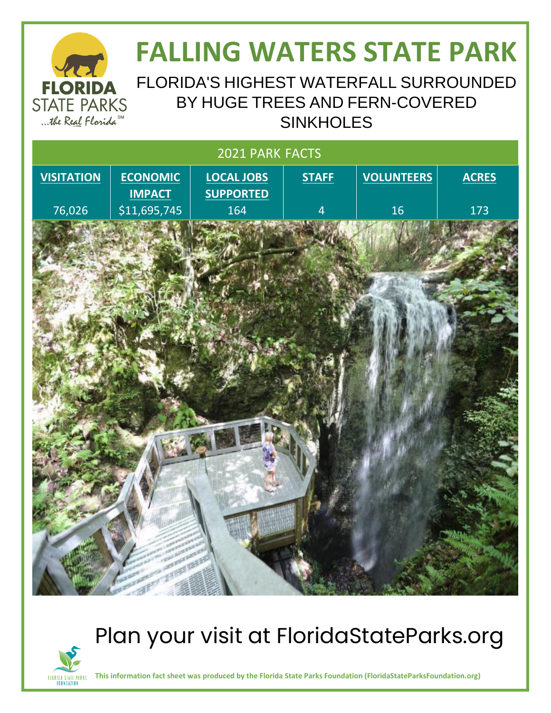## **FLORIDA STATE PARKS** ... the Real Florida SM

# **FALLING WATERS STATE PARK**

FLORIDA'S HIGHEST WATERFALL SURROUNDED BY HUGE TREES AND FERN-COVERED **SINKHOLES** 



### Plan your visit at FloridaStateParks.org



**This information fact sheet was produced by the Florida State Parks Foundation (FloridaStateParksFoundation.org)**